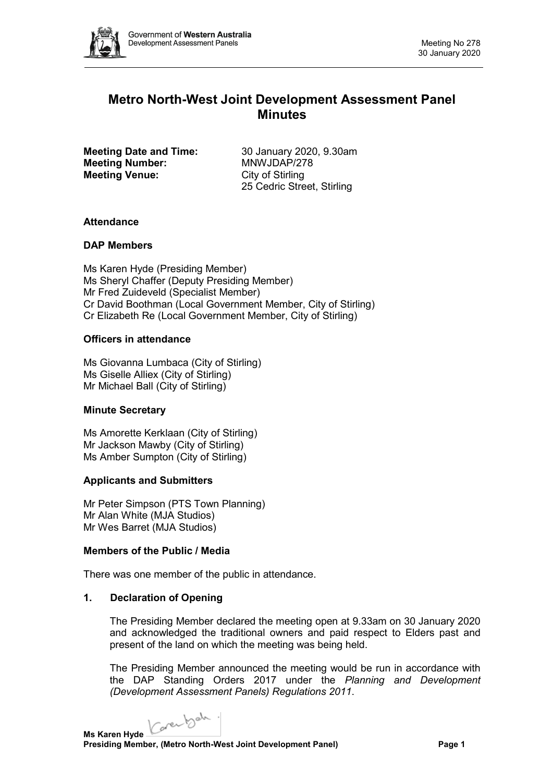

# **Metro North-West Joint Development Assessment Panel Minutes**

**Meeting Date and Time:** 30 January 2020, 9.30am<br> **Meeting Number:** MNWJDAP/278 **Meeting Number: Meeting Venue:** City of Stirling

25 Cedric Street, Stirling

# **Attendance**

# **DAP Members**

Ms Karen Hyde (Presiding Member) Ms Sheryl Chaffer (Deputy Presiding Member) Mr Fred Zuideveld (Specialist Member) Cr David Boothman (Local Government Member, City of Stirling) Cr Elizabeth Re (Local Government Member, City of Stirling)

# **Officers in attendance**

Ms Giovanna Lumbaca (City of Stirling) Ms Giselle Alliex (City of Stirling) Mr Michael Ball (City of Stirling)

# **Minute Secretary**

Ms Amorette Kerklaan (City of Stirling) Mr Jackson Mawby (City of Stirling) Ms Amber Sumpton (City of Stirling)

# **Applicants and Submitters**

Mr Peter Simpson (PTS Town Planning) Mr Alan White (MJA Studios) Mr Wes Barret (MJA Studios)

# **Members of the Public / Media**

There was one member of the public in attendance.

# **1. Declaration of Opening**

The Presiding Member declared the meeting open at 9.33am on 30 January 2020 and acknowledged the traditional owners and paid respect to Elders past and present of the land on which the meeting was being held.

The Presiding Member announced the meeting would be run in accordance with the DAP Standing Orders 2017 under the *Planning and Development (Development Assessment Panels) Regulations 2011*.

Carentale.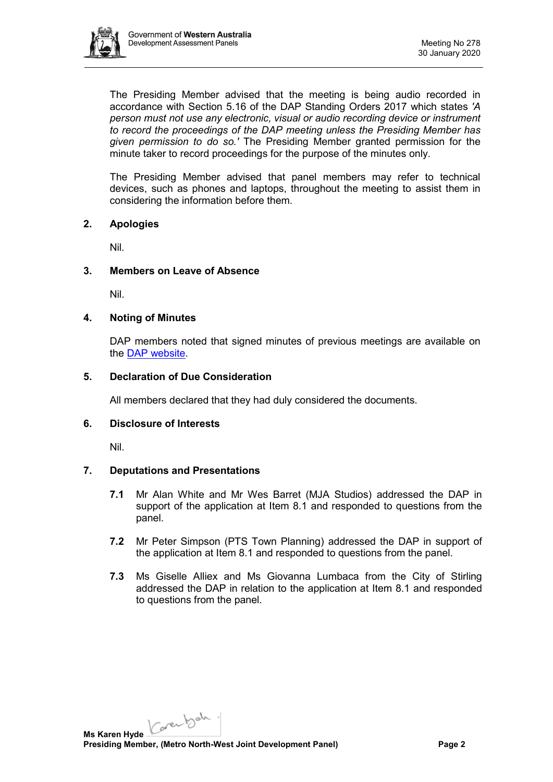

The Presiding Member advised that the meeting is being audio recorded in accordance with Section 5.16 of the DAP Standing Orders 2017 which states *'A person must not use any electronic, visual or audio recording device or instrument to record the proceedings of the DAP meeting unless the Presiding Member has given permission to do so.'* The Presiding Member granted permission for the minute taker to record proceedings for the purpose of the minutes only.

The Presiding Member advised that panel members may refer to technical devices, such as phones and laptops, throughout the meeting to assist them in considering the information before them.

# **2. Apologies**

Nil.

### **3. Members on Leave of Absence**

Nil.

### **4. Noting of Minutes**

DAP members noted that signed minutes of previous meetings are available on the [DAP website.](https://www.dplh.wa.gov.au/about/development-assessment-panels/daps-agendas-and-minutes)

### **5. Declaration of Due Consideration**

All members declared that they had duly considered the documents.

# **6. Disclosure of Interests**

Nil.

# **7. Deputations and Presentations**

- **7.1** Mr Alan White and Mr Wes Barret (MJA Studios) addressed the DAP in support of the application at Item 8.1 and responded to questions from the panel.
- **7.2** Mr Peter Simpson (PTS Town Planning) addressed the DAP in support of the application at Item 8.1 and responded to questions from the panel.
- **7.3** Ms Giselle Alliex and Ms Giovanna Lumbaca from the City of Stirling addressed the DAP in relation to the application at Item 8.1 and responded to questions from the panel.

Carentale. **Ms Karen Hyde**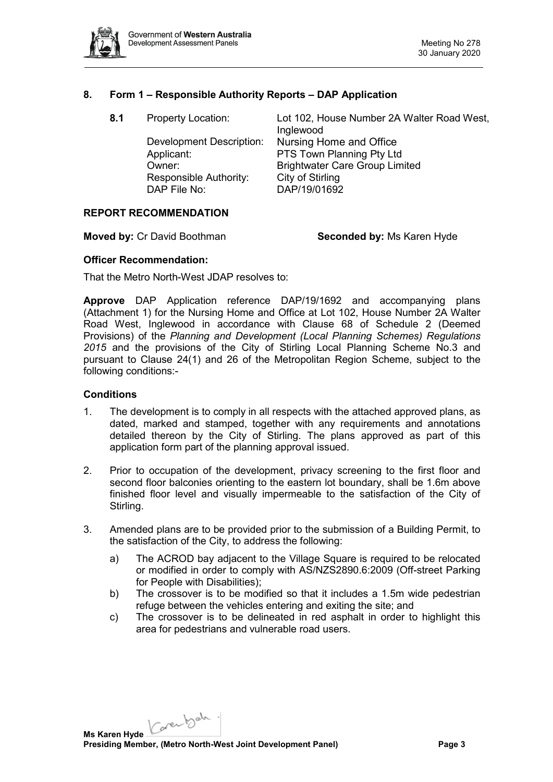

### **8. Form 1 – Responsible Authority Reports – DAP Application**

| 8.1 | <b>Property Location:</b> | Lot 102, House Number 2A Walter Road West,<br>Inglewood |
|-----|---------------------------|---------------------------------------------------------|
|     | Development Description:  | Nursing Home and Office                                 |
|     | Applicant:                | PTS Town Planning Pty Ltd                               |
|     | Owner:                    | <b>Brightwater Care Group Limited</b>                   |
|     | Responsible Authority:    | City of Stirling                                        |
|     | DAP File No:              | DAP/19/01692                                            |
|     |                           |                                                         |

#### **REPORT RECOMMENDATION**

**Moved by:** Cr David Boothman **Seconded by:** Ms Karen Hyde

### **Officer Recommendation:**

That the Metro North-West JDAP resolves to:

**Approve** DAP Application reference DAP/19/1692 and accompanying plans (Attachment 1) for the Nursing Home and Office at Lot 102, House Number 2A Walter Road West, Inglewood in accordance with Clause 68 of Schedule 2 (Deemed Provisions) of the *Planning and Development (Local Planning Schemes) Regulations 2015* and the provisions of the City of Stirling Local Planning Scheme No.3 and pursuant to Clause 24(1) and 26 of the Metropolitan Region Scheme, subject to the following conditions:-

#### **Conditions**

- 1. The development is to comply in all respects with the attached approved plans, as dated, marked and stamped, together with any requirements and annotations detailed thereon by the City of Stirling. The plans approved as part of this application form part of the planning approval issued.
- 2. Prior to occupation of the development, privacy screening to the first floor and second floor balconies orienting to the eastern lot boundary, shall be 1.6m above finished floor level and visually impermeable to the satisfaction of the City of Stirling.
- 3. Amended plans are to be provided prior to the submission of a Building Permit, to the satisfaction of the City, to address the following:
	- a) The ACROD bay adjacent to the Village Square is required to be relocated or modified in order to comply with AS/NZS2890.6:2009 (Off-street Parking for People with Disabilities);
	- b) The crossover is to be modified so that it includes a 1.5m wide pedestrian refuge between the vehicles entering and exiting the site; and
	- c) The crossover is to be delineated in red asphalt in order to highlight this area for pedestrians and vulnerable road users.

Carentale. **Ms Karen Hyde Presiding Member, (Metro North-West Joint Development Panel) Page 3**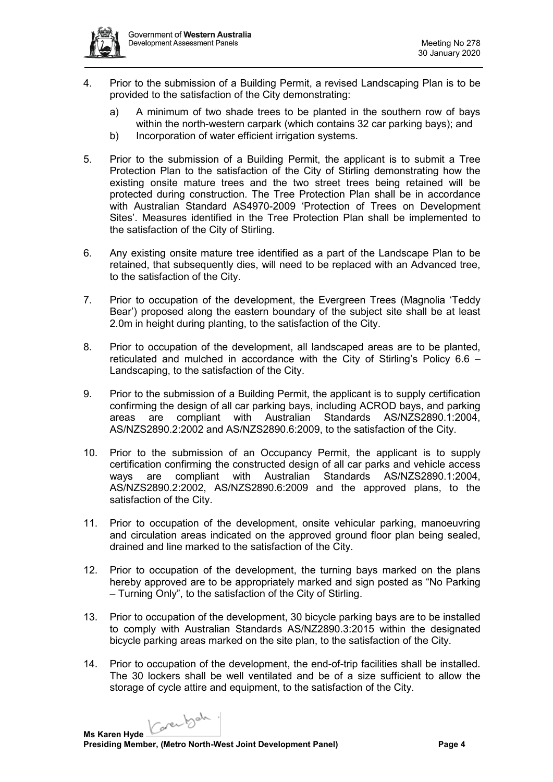

- 4. Prior to the submission of a Building Permit, a revised Landscaping Plan is to be provided to the satisfaction of the City demonstrating:
	- a) A minimum of two shade trees to be planted in the southern row of bays within the north-western carpark (which contains 32 car parking bays); and
	- b) Incorporation of water efficient irrigation systems.
- 5. Prior to the submission of a Building Permit, the applicant is to submit a Tree Protection Plan to the satisfaction of the City of Stirling demonstrating how the existing onsite mature trees and the two street trees being retained will be protected during construction. The Tree Protection Plan shall be in accordance with Australian Standard AS4970-2009 'Protection of Trees on Development Sites'. Measures identified in the Tree Protection Plan shall be implemented to the satisfaction of the City of Stirling.
- 6. Any existing onsite mature tree identified as a part of the Landscape Plan to be retained, that subsequently dies, will need to be replaced with an Advanced tree, to the satisfaction of the City.
- 7. Prior to occupation of the development, the Evergreen Trees (Magnolia 'Teddy Bear') proposed along the eastern boundary of the subject site shall be at least 2.0m in height during planting, to the satisfaction of the City.
- 8. Prior to occupation of the development, all landscaped areas are to be planted, reticulated and mulched in accordance with the City of Stirling's Policy 6.6 – Landscaping, to the satisfaction of the City.
- 9. Prior to the submission of a Building Permit, the applicant is to supply certification confirming the design of all car parking bays, including ACROD bays, and parking areas are compliant with Australian Standards AS/NZS2890.1:2004, AS/NZS2890.2:2002 and AS/NZS2890.6:2009, to the satisfaction of the City.
- 10. Prior to the submission of an Occupancy Permit, the applicant is to supply certification confirming the constructed design of all car parks and vehicle access ways are compliant with Australian Standards AS/NZS2890.1:2004, AS/NZS2890.2:2002, AS/NZS2890.6:2009 and the approved plans, to the satisfaction of the City.
- 11. Prior to occupation of the development, onsite vehicular parking, manoeuvring and circulation areas indicated on the approved ground floor plan being sealed, drained and line marked to the satisfaction of the City.
- 12. Prior to occupation of the development, the turning bays marked on the plans hereby approved are to be appropriately marked and sign posted as "No Parking – Turning Only", to the satisfaction of the City of Stirling.
- 13. Prior to occupation of the development, 30 bicycle parking bays are to be installed to comply with Australian Standards AS/NZ2890.3:2015 within the designated bicycle parking areas marked on the site plan, to the satisfaction of the City.
- 14. Prior to occupation of the development, the end-of-trip facilities shall be installed. The 30 lockers shall be well ventilated and be of a size sufficient to allow the storage of cycle attire and equipment, to the satisfaction of the City.

Carentale.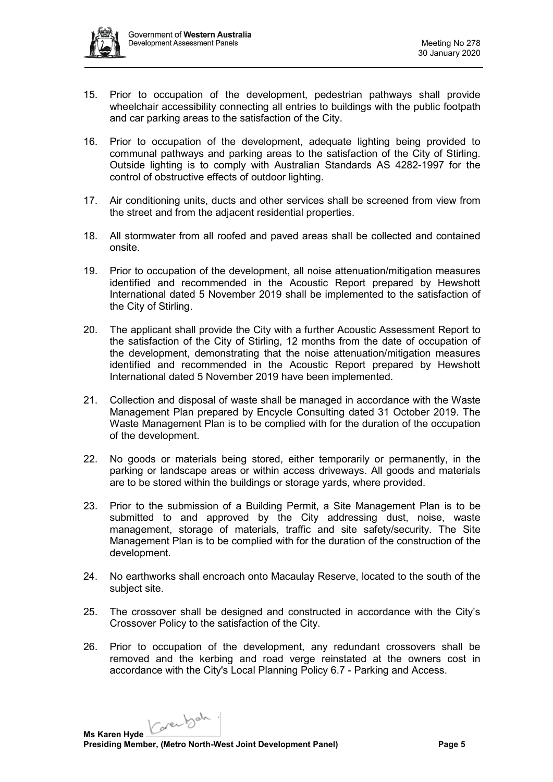

- 15. Prior to occupation of the development, pedestrian pathways shall provide wheelchair accessibility connecting all entries to buildings with the public footpath and car parking areas to the satisfaction of the City.
- 16. Prior to occupation of the development, adequate lighting being provided to communal pathways and parking areas to the satisfaction of the City of Stirling. Outside lighting is to comply with Australian Standards AS 4282-1997 for the control of obstructive effects of outdoor lighting.
- 17. Air conditioning units, ducts and other services shall be screened from view from the street and from the adjacent residential properties.
- 18. All stormwater from all roofed and paved areas shall be collected and contained onsite.
- 19. Prior to occupation of the development, all noise attenuation/mitigation measures identified and recommended in the Acoustic Report prepared by Hewshott International dated 5 November 2019 shall be implemented to the satisfaction of the City of Stirling.
- 20. The applicant shall provide the City with a further Acoustic Assessment Report to the satisfaction of the City of Stirling, 12 months from the date of occupation of the development, demonstrating that the noise attenuation/mitigation measures identified and recommended in the Acoustic Report prepared by Hewshott International dated 5 November 2019 have been implemented.
- 21. Collection and disposal of waste shall be managed in accordance with the Waste Management Plan prepared by Encycle Consulting dated 31 October 2019. The Waste Management Plan is to be complied with for the duration of the occupation of the development.
- 22. No goods or materials being stored, either temporarily or permanently, in the parking or landscape areas or within access driveways. All goods and materials are to be stored within the buildings or storage yards, where provided.
- 23. Prior to the submission of a Building Permit, a Site Management Plan is to be submitted to and approved by the City addressing dust, noise, waste management, storage of materials, traffic and site safety/security. The Site Management Plan is to be complied with for the duration of the construction of the development.
- 24. No earthworks shall encroach onto Macaulay Reserve, located to the south of the subject site.
- 25. The crossover shall be designed and constructed in accordance with the City's Crossover Policy to the satisfaction of the City.
- 26. Prior to occupation of the development, any redundant crossovers shall be removed and the kerbing and road verge reinstated at the owners cost in accordance with the City's Local Planning Policy 6.7 - Parking and Access.

Karenbah. **Ms Karen Hyde Presiding Member, (Metro North-West Joint Development Panel) Page 5**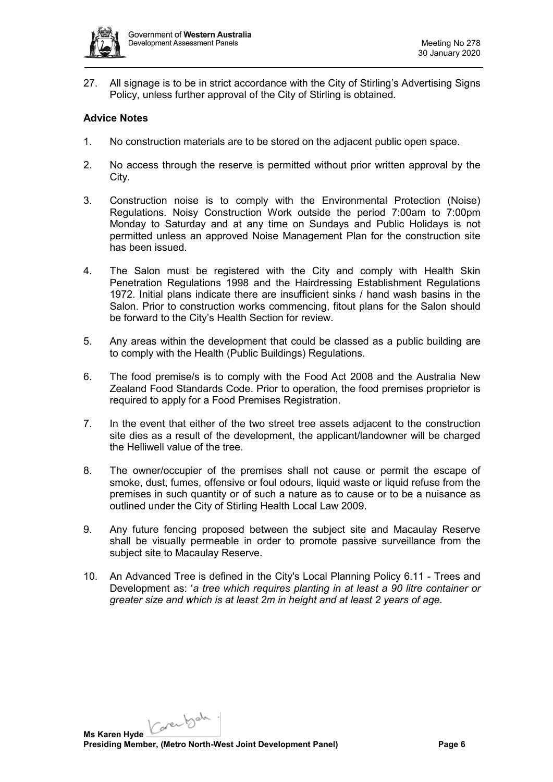

27. All signage is to be in strict accordance with the City of Stirling's Advertising Signs Policy, unless further approval of the City of Stirling is obtained.

# **Advice Notes**

- 1. No construction materials are to be stored on the adjacent public open space.
- 2. No access through the reserve is permitted without prior written approval by the City.
- 3. Construction noise is to comply with the Environmental Protection (Noise) Regulations. Noisy Construction Work outside the period 7:00am to 7:00pm Monday to Saturday and at any time on Sundays and Public Holidays is not permitted unless an approved Noise Management Plan for the construction site has been issued.
- 4. The Salon must be registered with the City and comply with Health Skin Penetration Regulations 1998 and the Hairdressing Establishment Regulations 1972. Initial plans indicate there are insufficient sinks / hand wash basins in the Salon. Prior to construction works commencing, fitout plans for the Salon should be forward to the City's Health Section for review.
- 5. Any areas within the development that could be classed as a public building are to comply with the Health (Public Buildings) Regulations.
- 6. The food premise/s is to comply with the Food Act 2008 and the Australia New Zealand Food Standards Code. Prior to operation, the food premises proprietor is required to apply for a Food Premises Registration.
- 7. In the event that either of the two street tree assets adjacent to the construction site dies as a result of the development, the applicant/landowner will be charged the Helliwell value of the tree.
- 8. The owner/occupier of the premises shall not cause or permit the escape of smoke, dust, fumes, offensive or foul odours, liquid waste or liquid refuse from the premises in such quantity or of such a nature as to cause or to be a nuisance as outlined under the City of Stirling Health Local Law 2009.
- 9. Any future fencing proposed between the subject site and Macaulay Reserve shall be visually permeable in order to promote passive surveillance from the subject site to Macaulay Reserve.
- 10. An Advanced Tree is defined in the City's Local Planning Policy 6.11 Trees and Development as: '*a tree which requires planting in at least a 90 litre container or greater size and which is at least 2m in height and at least 2 years of age.*

Karenbah. **Ms Karen Hyde Presiding Member, (Metro North-West Joint Development Panel) Page 6**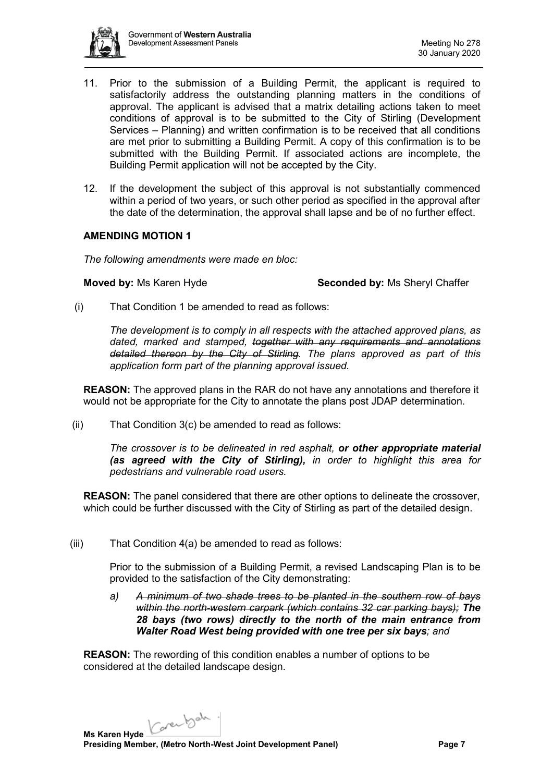

- 11. Prior to the submission of a Building Permit, the applicant is required to satisfactorily address the outstanding planning matters in the conditions of approval. The applicant is advised that a matrix detailing actions taken to meet conditions of approval is to be submitted to the City of Stirling (Development Services – Planning) and written confirmation is to be received that all conditions are met prior to submitting a Building Permit. A copy of this confirmation is to be submitted with the Building Permit. If associated actions are incomplete, the Building Permit application will not be accepted by the City.
- 12. If the development the subject of this approval is not substantially commenced within a period of two years, or such other period as specified in the approval after the date of the determination, the approval shall lapse and be of no further effect.

### **AMENDING MOTION 1**

*The following amendments were made en bloc:*

#### **Moved by:** Ms Karen Hyde **Seconded by:** Ms Sheryl Chaffer

(i) That Condition 1 be amended to read as follows:

*The development is to comply in all respects with the attached approved plans, as dated, marked and stamped, together with any requirements and annotations detailed thereon by the City of Stirling. The plans approved as part of this application form part of the planning approval issued.*

**REASON:** The approved plans in the RAR do not have any annotations and therefore it would not be appropriate for the City to annotate the plans post JDAP determination.

(ii) That Condition 3(c) be amended to read as follows:

*The crossover is to be delineated in red asphalt, or other appropriate material (as agreed with the City of Stirling), in order to highlight this area for pedestrians and vulnerable road users.*

**REASON:** The panel considered that there are other options to delineate the crossover, which could be further discussed with the City of Stirling as part of the detailed design.

(iii) That Condition 4(a) be amended to read as follows:

Prior to the submission of a Building Permit, a revised Landscaping Plan is to be provided to the satisfaction of the City demonstrating:

*a) A minimum of two shade trees to be planted in the southern row of bays within the north-western carpark (which contains 32 car parking bays); The 28 bays (two rows) directly to the north of the main entrance from Walter Road West being provided with one tree per six bays; and* 

**REASON:** The rewording of this condition enables a number of options to be considered at the detailed landscape design.

Karenbah. **Ms Karen Hyde**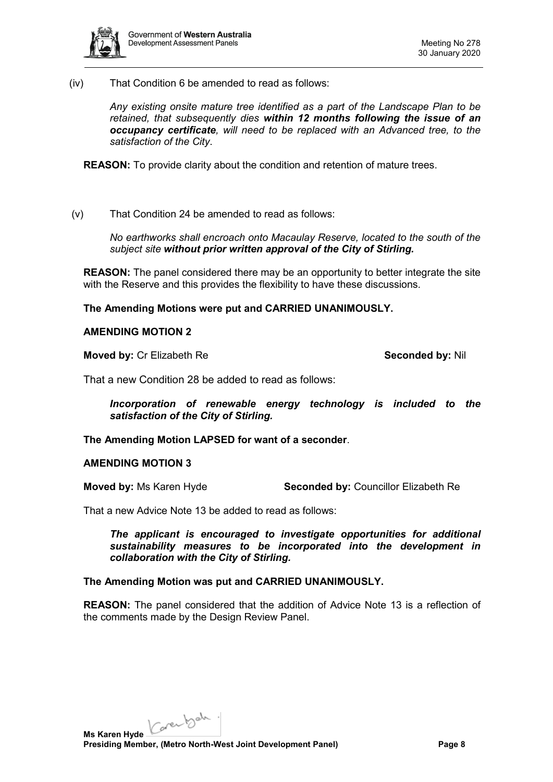

(iv) That Condition 6 be amended to read as follows:

*Any existing onsite mature tree identified as a part of the Landscape Plan to be retained, that subsequently dies within 12 months following the issue of an occupancy certificate, will need to be replaced with an Advanced tree, to the satisfaction of the City*.

**REASON:** To provide clarity about the condition and retention of mature trees.

(v) That Condition 24 be amended to read as follows:

*No earthworks shall encroach onto Macaulay Reserve, located to the south of the subject site without prior written approval of the City of Stirling.*

**REASON:** The panel considered there may be an opportunity to better integrate the site with the Reserve and this provides the flexibility to have these discussions.

**The Amending Motions were put and CARRIED UNANIMOUSLY.**

# **AMENDING MOTION 2**

**Moved by:** Cr Elizabeth Re **Seconded by:** Nil

That a new Condition 28 be added to read as follows:

*Incorporation of renewable energy technology is included to the satisfaction of the City of Stirling.*

**The Amending Motion LAPSED for want of a seconder**.

#### **AMENDING MOTION 3**

**Moved by:** Ms Karen Hyde **Seconded by:** Councillor Elizabeth Re

That a new Advice Note 13 be added to read as follows:

*The applicant is encouraged to investigate opportunities for additional sustainability measures to be incorporated into the development in collaboration with the City of Stirling.*

#### **The Amending Motion was put and CARRIED UNANIMOUSLY.**

**REASON:** The panel considered that the addition of Advice Note 13 is a reflection of the comments made by the Design Review Panel.

Karenbah. **Ms Karen Hyde**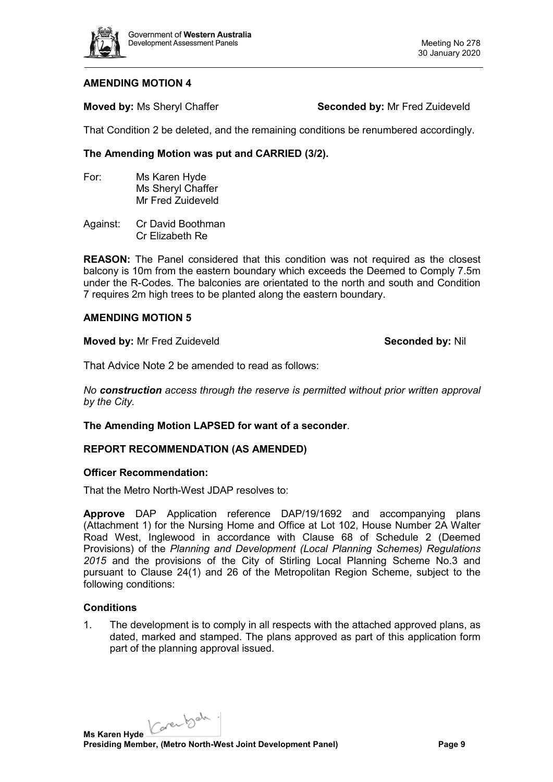

### **AMENDING MOTION 4**

**Moved by: Ms Sheryl Chaffer <b>Seconded by:** Mr Fred Zuideveld

That Condition 2 be deleted, and the remaining conditions be renumbered accordingly.

# **The Amending Motion was put and CARRIED (3/2).**

- For: Ms Karen Hyde Ms Sheryl Chaffer Mr Fred Zuideveld
- Against: Cr David Boothman Cr Elizabeth Re

**REASON:** The Panel considered that this condition was not required as the closest balcony is 10m from the eastern boundary which exceeds the Deemed to Comply 7.5m under the R-Codes. The balconies are orientated to the north and south and Condition 7 requires 2m high trees to be planted along the eastern boundary.

### **AMENDING MOTION 5**

**Moved by:** Mr Fred Zuideveld **Seconded by:** Nil

That Advice Note 2 be amended to read as follows:

*No construction access through the reserve is permitted without prior written approval by the City.*

**The Amending Motion LAPSED for want of a seconder**.

# **REPORT RECOMMENDATION (AS AMENDED)**

#### **Officer Recommendation:**

That the Metro North-West JDAP resolves to:

**Approve** DAP Application reference DAP/19/1692 and accompanying plans (Attachment 1) for the Nursing Home and Office at Lot 102, House Number 2A Walter Road West, Inglewood in accordance with Clause 68 of Schedule 2 (Deemed Provisions) of the *Planning and Development (Local Planning Schemes) Regulations 2015* and the provisions of the City of Stirling Local Planning Scheme No.3 and pursuant to Clause 24(1) and 26 of the Metropolitan Region Scheme, subject to the following conditions:

#### **Conditions**

1. The development is to comply in all respects with the attached approved plans, as dated, marked and stamped. The plans approved as part of this application form part of the planning approval issued.

Karenbah. **Ms Karen Hyde**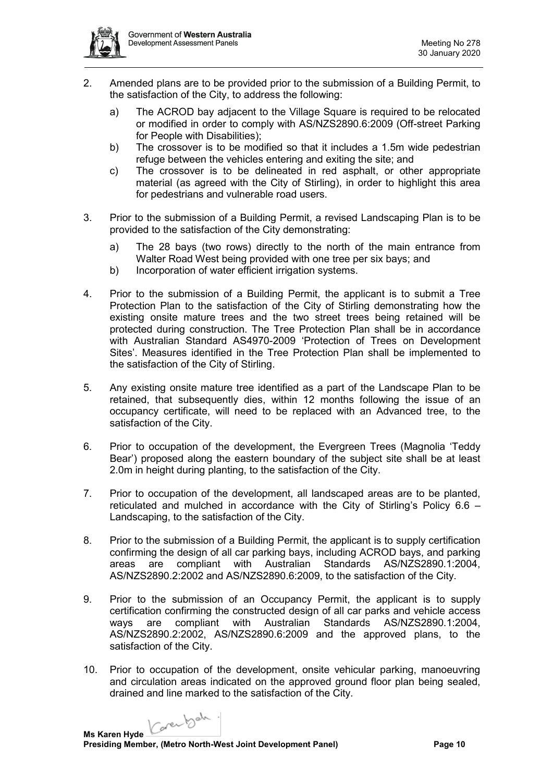

- 2. Amended plans are to be provided prior to the submission of a Building Permit, to the satisfaction of the City, to address the following:
	- a) The ACROD bay adjacent to the Village Square is required to be relocated or modified in order to comply with AS/NZS2890.6:2009 (Off-street Parking for People with Disabilities);
	- b) The crossover is to be modified so that it includes a 1.5m wide pedestrian refuge between the vehicles entering and exiting the site; and
	- c) The crossover is to be delineated in red asphalt, or other appropriate material (as agreed with the City of Stirling), in order to highlight this area for pedestrians and vulnerable road users.
- 3. Prior to the submission of a Building Permit, a revised Landscaping Plan is to be provided to the satisfaction of the City demonstrating:
	- a) The 28 bays (two rows) directly to the north of the main entrance from Walter Road West being provided with one tree per six bays; and
	- b) Incorporation of water efficient irrigation systems.
- 4. Prior to the submission of a Building Permit, the applicant is to submit a Tree Protection Plan to the satisfaction of the City of Stirling demonstrating how the existing onsite mature trees and the two street trees being retained will be protected during construction. The Tree Protection Plan shall be in accordance with Australian Standard AS4970-2009 'Protection of Trees on Development Sites'. Measures identified in the Tree Protection Plan shall be implemented to the satisfaction of the City of Stirling.
- 5. Any existing onsite mature tree identified as a part of the Landscape Plan to be retained, that subsequently dies, within 12 months following the issue of an occupancy certificate, will need to be replaced with an Advanced tree, to the satisfaction of the City.
- 6. Prior to occupation of the development, the Evergreen Trees (Magnolia 'Teddy Bear') proposed along the eastern boundary of the subject site shall be at least 2.0m in height during planting, to the satisfaction of the City.
- 7. Prior to occupation of the development, all landscaped areas are to be planted, reticulated and mulched in accordance with the City of Stirling's Policy 6.6 – Landscaping, to the satisfaction of the City.
- 8. Prior to the submission of a Building Permit, the applicant is to supply certification confirming the design of all car parking bays, including ACROD bays, and parking areas are compliant with Australian Standards AS/NZS2890.1:2004, AS/NZS2890.2:2002 and AS/NZS2890.6:2009, to the satisfaction of the City.
- 9. Prior to the submission of an Occupancy Permit, the applicant is to supply certification confirming the constructed design of all car parks and vehicle access ways are compliant with Australian Standards AS/NZS2890.1:2004, AS/NZS2890.2:2002, AS/NZS2890.6:2009 and the approved plans, to the satisfaction of the City.
- 10. Prior to occupation of the development, onsite vehicular parking, manoeuvring and circulation areas indicated on the approved ground floor plan being sealed, drained and line marked to the satisfaction of the City.

Carentale. **Ms Karen Hyde**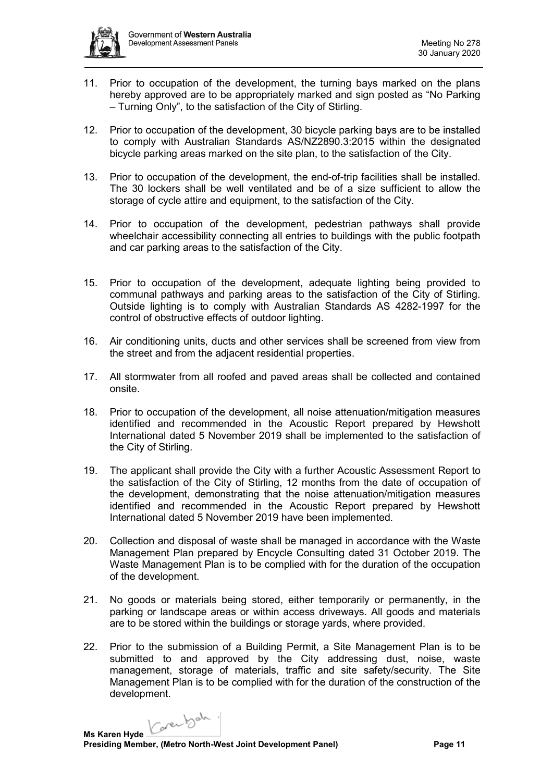

- 11. Prior to occupation of the development, the turning bays marked on the plans hereby approved are to be appropriately marked and sign posted as "No Parking – Turning Only", to the satisfaction of the City of Stirling.
- 12. Prior to occupation of the development, 30 bicycle parking bays are to be installed to comply with Australian Standards AS/NZ2890.3:2015 within the designated bicycle parking areas marked on the site plan, to the satisfaction of the City.
- 13. Prior to occupation of the development, the end-of-trip facilities shall be installed. The 30 lockers shall be well ventilated and be of a size sufficient to allow the storage of cycle attire and equipment, to the satisfaction of the City.
- 14. Prior to occupation of the development, pedestrian pathways shall provide wheelchair accessibility connecting all entries to buildings with the public footpath and car parking areas to the satisfaction of the City.
- 15. Prior to occupation of the development, adequate lighting being provided to communal pathways and parking areas to the satisfaction of the City of Stirling. Outside lighting is to comply with Australian Standards AS 4282-1997 for the control of obstructive effects of outdoor lighting.
- 16. Air conditioning units, ducts and other services shall be screened from view from the street and from the adjacent residential properties.
- 17. All stormwater from all roofed and paved areas shall be collected and contained onsite.
- 18. Prior to occupation of the development, all noise attenuation/mitigation measures identified and recommended in the Acoustic Report prepared by Hewshott International dated 5 November 2019 shall be implemented to the satisfaction of the City of Stirling.
- 19. The applicant shall provide the City with a further Acoustic Assessment Report to the satisfaction of the City of Stirling, 12 months from the date of occupation of the development, demonstrating that the noise attenuation/mitigation measures identified and recommended in the Acoustic Report prepared by Hewshott International dated 5 November 2019 have been implemented.
- 20. Collection and disposal of waste shall be managed in accordance with the Waste Management Plan prepared by Encycle Consulting dated 31 October 2019. The Waste Management Plan is to be complied with for the duration of the occupation of the development.
- 21. No goods or materials being stored, either temporarily or permanently, in the parking or landscape areas or within access driveways. All goods and materials are to be stored within the buildings or storage yards, where provided.
- 22. Prior to the submission of a Building Permit, a Site Management Plan is to be submitted to and approved by the City addressing dust, noise, waste management, storage of materials, traffic and site safety/security. The Site Management Plan is to be complied with for the duration of the construction of the development.

Carentale. **Ms Karen Hyde**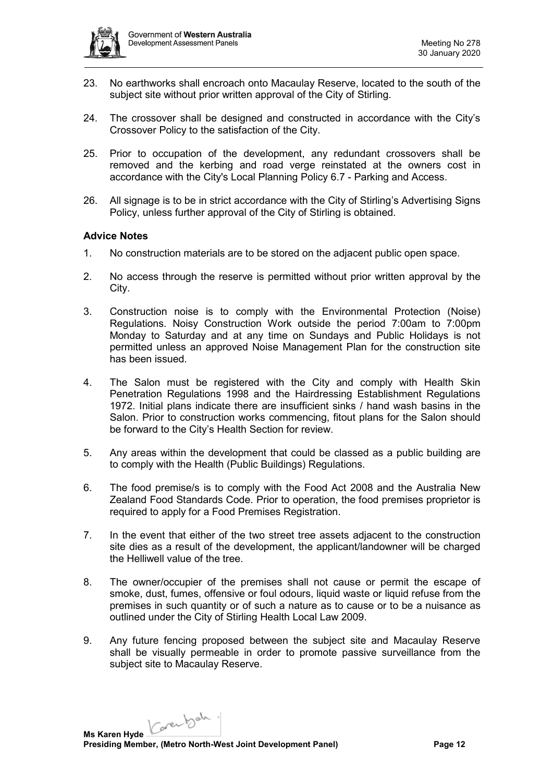

- 23. No earthworks shall encroach onto Macaulay Reserve, located to the south of the subject site without prior written approval of the City of Stirling.
- 24. The crossover shall be designed and constructed in accordance with the City's Crossover Policy to the satisfaction of the City.
- 25. Prior to occupation of the development, any redundant crossovers shall be removed and the kerbing and road verge reinstated at the owners cost in accordance with the City's Local Planning Policy 6.7 - Parking and Access.
- 26. All signage is to be in strict accordance with the City of Stirling's Advertising Signs Policy, unless further approval of the City of Stirling is obtained.

### **Advice Notes**

- 1. No construction materials are to be stored on the adjacent public open space.
- 2. No access through the reserve is permitted without prior written approval by the City.
- 3. Construction noise is to comply with the Environmental Protection (Noise) Regulations. Noisy Construction Work outside the period 7:00am to 7:00pm Monday to Saturday and at any time on Sundays and Public Holidays is not permitted unless an approved Noise Management Plan for the construction site has been issued.
- 4. The Salon must be registered with the City and comply with Health Skin Penetration Regulations 1998 and the Hairdressing Establishment Regulations 1972. Initial plans indicate there are insufficient sinks / hand wash basins in the Salon. Prior to construction works commencing, fitout plans for the Salon should be forward to the City's Health Section for review.
- 5. Any areas within the development that could be classed as a public building are to comply with the Health (Public Buildings) Regulations.
- 6. The food premise/s is to comply with the Food Act 2008 and the Australia New Zealand Food Standards Code. Prior to operation, the food premises proprietor is required to apply for a Food Premises Registration.
- 7. In the event that either of the two street tree assets adjacent to the construction site dies as a result of the development, the applicant/landowner will be charged the Helliwell value of the tree.
- 8. The owner/occupier of the premises shall not cause or permit the escape of smoke, dust, fumes, offensive or foul odours, liquid waste or liquid refuse from the premises in such quantity or of such a nature as to cause or to be a nuisance as outlined under the City of Stirling Health Local Law 2009.
- 9. Any future fencing proposed between the subject site and Macaulay Reserve shall be visually permeable in order to promote passive surveillance from the subject site to Macaulay Reserve.

Karenbah. **Ms Karen Hyde Presiding Member, (Metro North-West Joint Development Panel) Page 12**